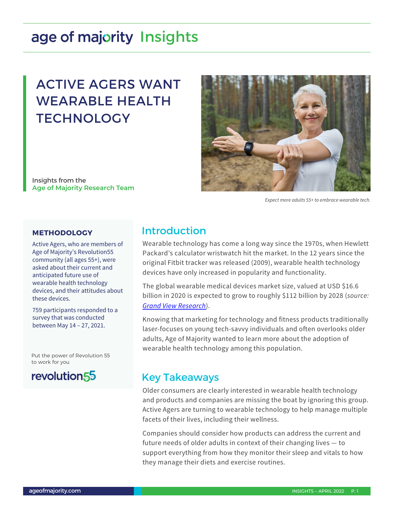# age of majority Insights

## ACTIVE AGERS WANT WEARABLE HEALTH **TECHNOLOGY**

Insights from the **Age of Majority Research Team**



*Expect more adults 55+ to embrace wearable tech.*

### **METHODOLOGY**

Active Agers, who are members of Age of Majority's Revolution55 community (all ages 55+), were asked about their current and anticipated future use of wearable health technology devices, and their attitudes about these devices.

759 participants responded to a survey that was conducted between May 14 – 27, 2021.

Put the power of Revolution 55 to work for you



### Introduction

Wearable technology has come a long way since the 1970s, when Hewlett Packard's calculator wristwatch hit the market. In the 12 years since the original Fitbit tracker was released (2009), wearable health technology devices have only increased in popularity and functionality.

The global wearable medical devices market size, valued at USD \$16.6 billion in 2020 is expected to grow to roughly \$112 billion by 2028 (*source: [Grand View Research](https://www.grandviewresearch.com/industry-analysis/wearable-medical-devices-market)*).

Knowing that marketing for technology and fitness products traditionally laser-focuses on young tech-savvy individuals and often overlooks older adults, Age of Majority wanted to learn more about the adoption of wearable health technology among this population.

### Key Takeaways

Older consumers are clearly interested in wearable health technology and products and companies are missing the boat by ignoring this group. Active Agers are turning to wearable technology to help manage multiple facets of their lives, including their wellness.

Companies should consider how products can address the current and future needs of older adults in context of their changing lives — to support everything from how they monitor their sleep and vitals to how they manage their diets and exercise routines.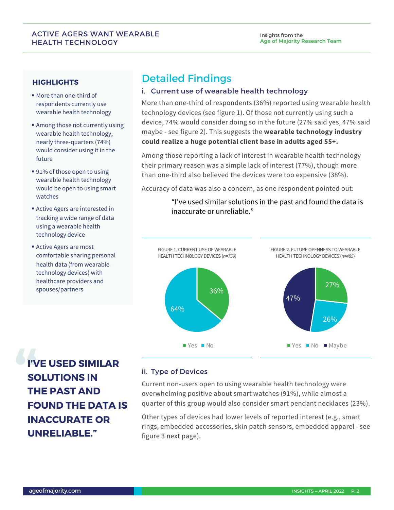### ACTIVE AGERS WANT WEARABLE HEALTH TECHNOLOGY

### **HIGHLIGHTS**

- ! More than one-third of respondents currently use wearable health technology
- **EXECUTE:** Among those not currently using wearable health technology, nearly three-quarters (74%) would consider using it in the future
- 91% of those open to using wearable health technology would be open to using smart watches
- **Exercise Agers are interested in** tracking a wide range of data using a wearable health technology device
- **Active Agers are most** comfortable sharing personal health data (from wearable technology devices) with healthcare providers and spouses/partners

## Detailed Findings

### i. Current use of wearable health technology

More than one-third of respondents (36%) reported using wearable health technology devices (see figure 1). Of those not currently using such a device, 74% would consider doing so in the future (27% said yes, 47% said maybe - see figure 2). This suggests the **wearable technology industry could realize a huge potential client base in adults aged 55+.**

Among those reporting a lack of interest in wearable health technology their primary reason was a simple lack of interest (77%), though more than one-third also believed the devices were too expensive (38%).

Accuracy of data was also a concern, as one respondent pointed out:

"I've used similar solutions in the past and found the data is inaccurate or unreliable."



**I'VE USED SIMILAR SOLUTIONS IN THE PAST AND FOUND THE DATA IS INACCURATE OR UNRELIABLE."**

### ii. Type of Devices

Current non-users open to using wearable health technology were overwhelming positive about smart watches (91%), while almost a quarter of this group would also consider smart pendant necklaces (23%).

Other types of devices had lower levels of reported interest (e.g., smart rings, embedded accessories, skin patch sensors, embedded apparel - see figure 3 next page).